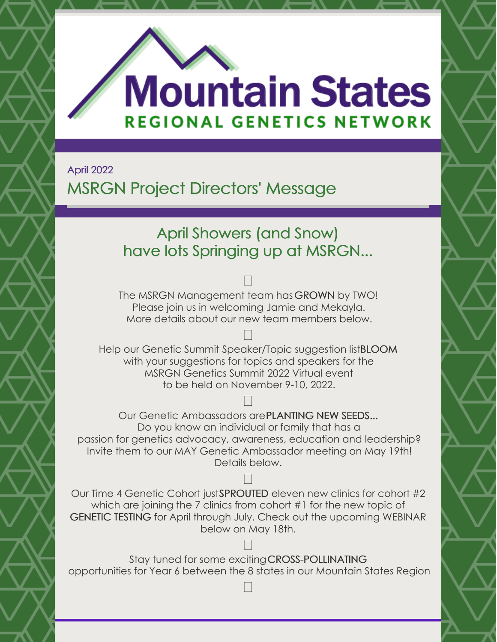

# **Mountain States REGIONAL GENETICS NETWORK**

April 2022

# MSRGN Project Directors' Message

## April Showers (and Snow) have lots Springing up at MSRGN...

#### $\Box$

The MSRGN Management team has GROWN by TWO! Please join us in welcoming Jamie and Mekayla. More details about our new team members below.

#### $\Box$ Help our Genetic Summit Speaker/Topic suggestion listBLOOM with your suggestions for topics and speakers for the MSRGN Genetics Summit 2022 Virtual event to be held on November 9-10, 2022.

#### 

Our Genetic Ambassadors arePLANTING NEW SEEDS... Do you know an individual or family that has a passion for genetics advocacy, awareness, education and leadership? Invite them to our MAY Genetic Ambassador meeting on May 19th! Details below.

#### 

Our Time 4 Genetic Cohort justSPROUTED eleven new clinics for cohort #2 which are joining the 7 clinics from cohort #1 for the new topic of GENETIC TESTING for April through July. Check out the upcoming WEBINAR below on May 18th.

Stay tuned for some excitingCROSS-POLLINATING opportunities for Year 6 between the 8 states in our Mountain States Region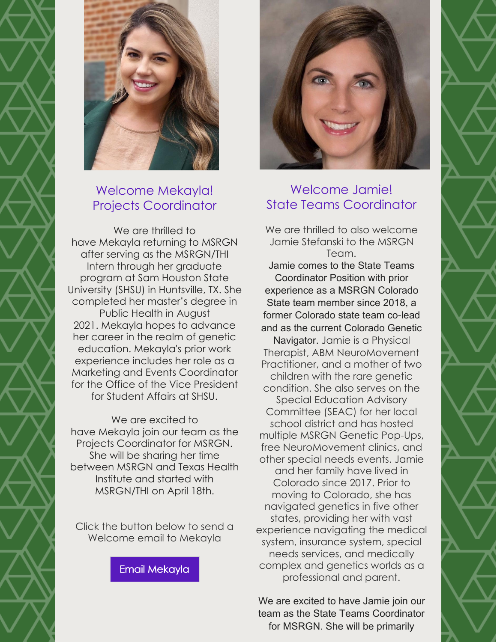



#### Welcome Mekayla! Projects Coordinator

We are thrilled to have Mekayla returning to MSRGN after serving as the MSRGN/THI Intern through her graduate program at Sam Houston State University (SHSU) in Huntsville, TX. She completed her master's degree in Public Health in August 2021. Mekayla hopes to advance her career in the realm of genetic education. Mekayla's prior work experience includes her role as a Marketing and Events Coordinator for the Office of the Vice President for Student Affairs at SHSU.

We are excited to have Mekayla join our team as the Projects Coordinator for MSRGN. She will be sharing her time between MSRGN and Texas Health Institute and started with MSRGN/THI on April 18th.

Click the button below to send a Welcome email to Mekayla

Email [Mekayla](mailto:mountainstatesregionalgenetics@gmail.com)



#### Welcome Jamie! State Teams Coordinator

We are thrilled to also welcome Jamie Stefanski to the MSRGN Team. Jamie comes to the State Teams Coordinator Position with prior experience as a MSRGN Colorado State team member since 2018, a former Colorado state team co-lead and as the current Colorado Genetic Navigator. Jamie is a Physical Therapist, ABM NeuroMovement Practitioner, and a mother of two children with the rare genetic condition. She also serves on the Special Education Advisory Committee (SEAC) for her local school district and has hosted multiple MSRGN Genetic Pop-Ups, free NeuroMovement clinics, and other special needs events. Jamie and her family have lived in Colorado since 2017. Prior to moving to Colorado, she has navigated genetics in five other states, providing her with vast experience navigating the medical system, insurance system, special needs services, and medically complex and genetics worlds as a professional and parent.

We are excited to have Jamie join our team as the State Teams Coordinator for MSRGN. She will be primarily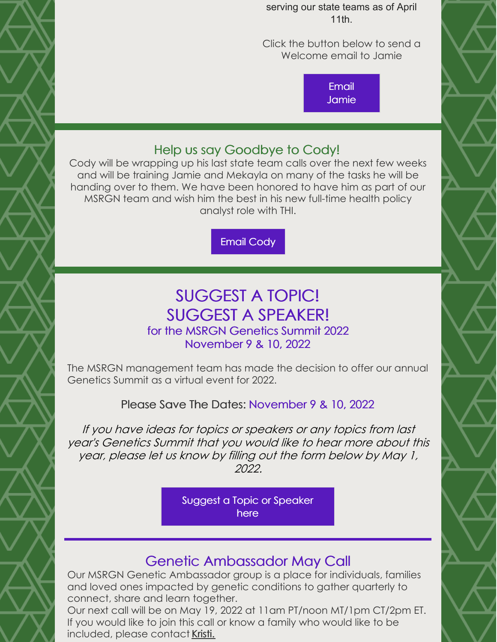serving our state teams as of April 11th.

Click the button below to send a Welcome email to Jamie

> Email [Jamie](mailto:jstefanski@mountainstatesgenetics.org)

#### Help us say Goodbye to Cody!

Cody will be wrapping up his last state team calls over the next few weeks and will be training Jamie and Mekayla on many of the tasks he will be handing over to them. We have been honored to have him as part of our MSRGN team and wish him the best in his new full-time health policy analyst role with THI.

Email [Cody](mailto:cprice@texashealthinstitute.org)

## SUGGEST A TOPIC! SUGGEST A SPEAKER! for the MSRGN Genetics Summit 2022

## November 9 & 10, 2022

The MSRGN management team has made the decision to offer our annual Genetics Summit as a virtual event for 2022.

Please Save The Dates: November 9 & 10, 2022

If you have ideas for topics or speakers or any topics from last year's Genetics Summit that you would like to hear more about this year, please let us know by filling out the form below by May 1, 2022.

> Suggest a Topic or [Speaker](https://forms.gle/P7tBeDgWQV58ihCV8) here

## Genetic Ambassador May Call

Our MSRGN Genetic Ambassador group is a place for individuals, families and loved ones impacted by genetic conditions to gather quarterly to connect, share and learn together.

Our next call will be on May 19, 2022 at 11am PT/noon MT/1pm CT/2pm ET. If you would like to join this call or know a family who would like to be included, please contac[t](mailto:kwees@mountainstatesgenetics.org) [Kristi.](mailto:kwees@mountainstatesgenetics.org)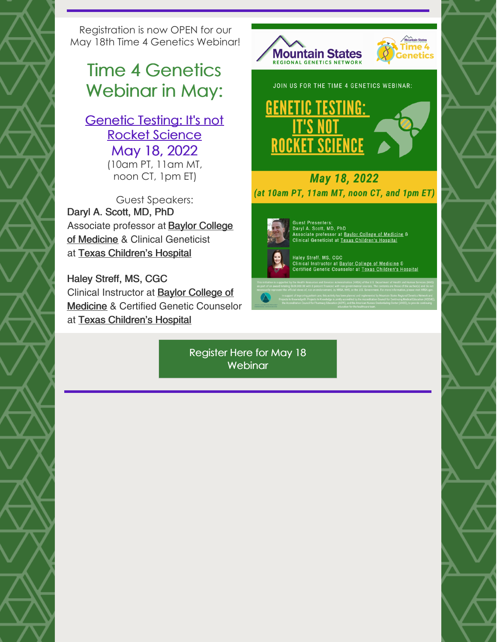Registration is now OPEN for our May 18th Time 4 Genetics Webinar!

# Time 4 Genetics Webinar in May:

#### **[Genetic](https://us02web.zoom.us/meeting/register/tZUpcOuvrjIuH9auAho6GXqpUWyeIXoZp0UK) Testing: It's not** Rocket Science May 18, 2022 (10am PT, 11am MT,

noon CT, 1pm ET)

Guest Speakers: Daryl A. Scott, MD, PhD [Associate](https://www.bcm.edu/people-search/daryl-scott-30210) professor at **Baylor College** of Medicine & Clinical Geneticist at Texas [Children's](https://www.texaschildrens.org/find-a-doctor/daryl-scott-md) Hospital

Haley Streff, MS, CGC Clinical [Instructor](https://www.bcm.edu/people-search/haley-streff-31144) at Baylor College of Medicine & Certified Genetic Counselor at Texas [Children's](https://www.texaschildrens.org/find-a-doctor/haley-streff-ms-cgc) Hospital



Register Here for May 18 **[Webinar](https://us02web.zoom.us/meeting/register/tZUpcOuvrjIuH9auAho6GXqpUWyeIXoZp0UK)**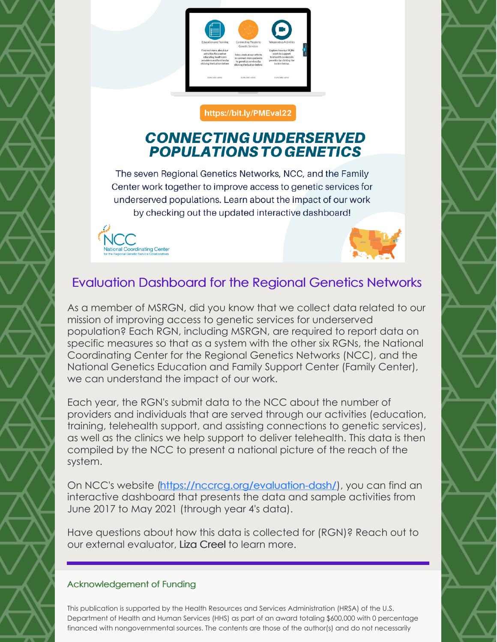

#### https://bit.ly/PMEval22

#### **CONNECTING UNDERSERVED POPULATIONS TO GENETICS**

The seven Regional Genetics Networks, NCC, and the Family Center work together to improve access to genetic services for underserved populations. Learn about the impact of our work by checking out the updated interactive dashboard!





#### Evaluation Dashboard for the Regional Genetics Networks

As a member of MSRGN, did you know that we collect data related to our mission of improving access to genetic services for underserved population? Each RGN, including MSRGN, are required to report data on specific measures so that as a system with the other six RGNs, the National Coordinating Center for the Regional Genetics Networks (NCC), and the National Genetics Education and Family Support Center (Family Center), we can understand the impact of our work.

Each year, the RGN's submit data to the NCC about the number of providers and individuals that are served through our activities (education, training, telehealth support, and assisting connections to genetic services), as well as the clinics we help support to deliver telehealth. This data is then compiled by the NCC to present a national picture of the reach of the system.

On NCC's website [\(https://nccrcg.org/evaluation-dash/](https://nccrcg.org/evaluation-dash/)), you can find an interactive dashboard that presents the data and sample activities from June 2017 to May 2021 (through year 4's data).

Have questions about how this data is collected for (RGN)? Reach out to our external evaluator, Liza [Creel](mailto:Liza.Creel@louisville.edu) to learn more.

#### Acknowledgement of Funding

This publication is supported by the Health Resources and Services Administration (HRSA) of the U.S. Department of Health and Human Services (HHS) as part of an award totaling \$600,000 with 0 percentage financed with nongovernmental sources. The contents are those of the author(s) and do not necessarily